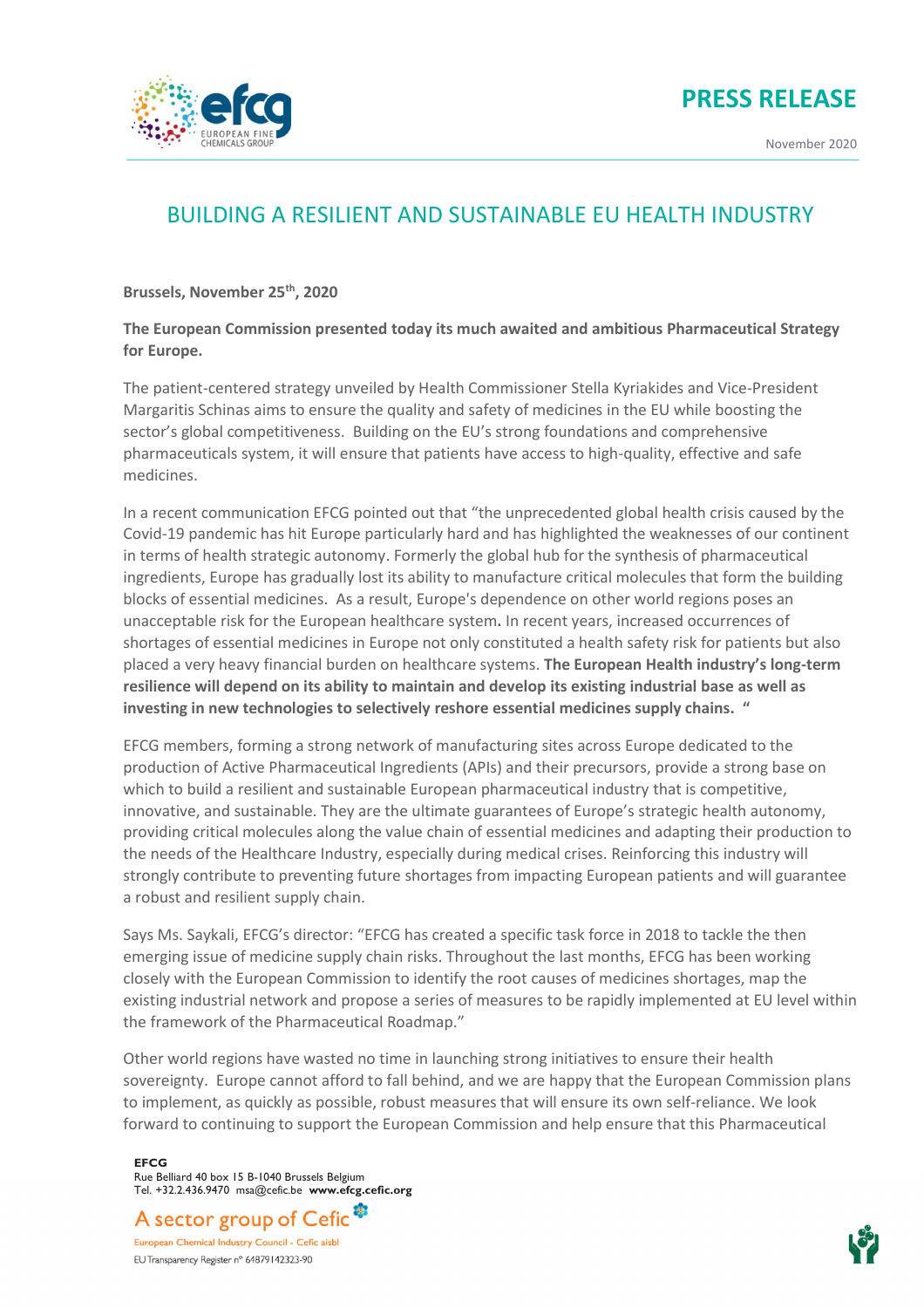



November 2020



## BUILDING A RESILIENT AND SUSTAINABLE EU HEALTH INDUSTRY

**Brussels, November 25th, 2020**

## **The European Commission presented today its much awaited and ambitious Pharmaceutical Strategy for Europe.**

The patient-centered strategy unveiled by Health Commissioner Stella Kyriakides and Vice-President Margaritis Schinas aims to ensure the quality and safety of medicines in the EU while boosting the sector's global competitiveness. Building on the EU's strong foundations and comprehensive pharmaceuticals system, it will ensure that patients have access to high-quality, effective and safe medicines.

In a recent communication EFCG pointed out that "the unprecedented global health crisis caused by the Covid-19 pandemic has hit Europe particularly hard and has highlighted the weaknesses of our continent in terms of health strategic autonomy. Formerly the global hub for the synthesis of pharmaceutical ingredients, Europe has gradually lost its ability to manufacture critical molecules that form the building blocks of essential medicines. As a result, Europe's dependence on other world regions poses an unacceptable risk for the European healthcare system**.** In recent years, increased occurrences of shortages of essential medicines in Europe not only constituted a health safety risk for patients but also placed a very heavy financial burden on healthcare systems. **The European Health industry's longterm resilience will depend on its ability to maintain and develop its existing industrial base as well as investing in new technologies to selectively reshore essential medicines supply chains. "**

EFCG members, forming a strong network of manufacturing sites across Europe dedicated to the production of Active Pharmaceutical Ingredients (APIs) and their precursors, provide a strong base on which to build a resilient and sustainable European pharmaceutical industry that is competitive, innovative, and sustainable. They are the ultimate guarantees of Europe's strategic health autonomy, providing critical molecules along the value chain of essential medicines and adapting their production to the needs of the Healthcare Industry, especially during medical crises. Reinforcing this industry will strongly contribute to preventing future shortages from impacting European patients and will guarantee a robust and resilient supply chain.

Says Ms. Saykali, EFCG's director: "EFCG has created a specific task force in 2018 to tackle the then emerging issue of medicine supply chain risks. Throughout the last months, EFCG has been working closely with the European Commission to identify the root causes of medicines shortages, map the existing industrial network and propose a series of measures to be rapidly implemented at EU level within the framework of the Pharmaceutical Roadmap."

Other world regions have wasted no time in launching strong initiatives to ensure their health sovereignty. Europe cannot afford to fall behind, and we are happy that the European Commission plans to implement, as quickly as possible, robust measures that will ensure its own self-reliance. We look forward to continuing to support the European Commission and help ensure that this Pharmaceutical

**EFCG** Rue Belliard 40 box 15 B-1040 Brussels Belgium Tel. +32.2.436.9470 msa@cefic.be **www.efcg.cefic.org**

A sector group of Cefic<sup>®</sup>

European Chemical Industry Council - Cefic aisbl EU Transparency Register n° 64879142323-90